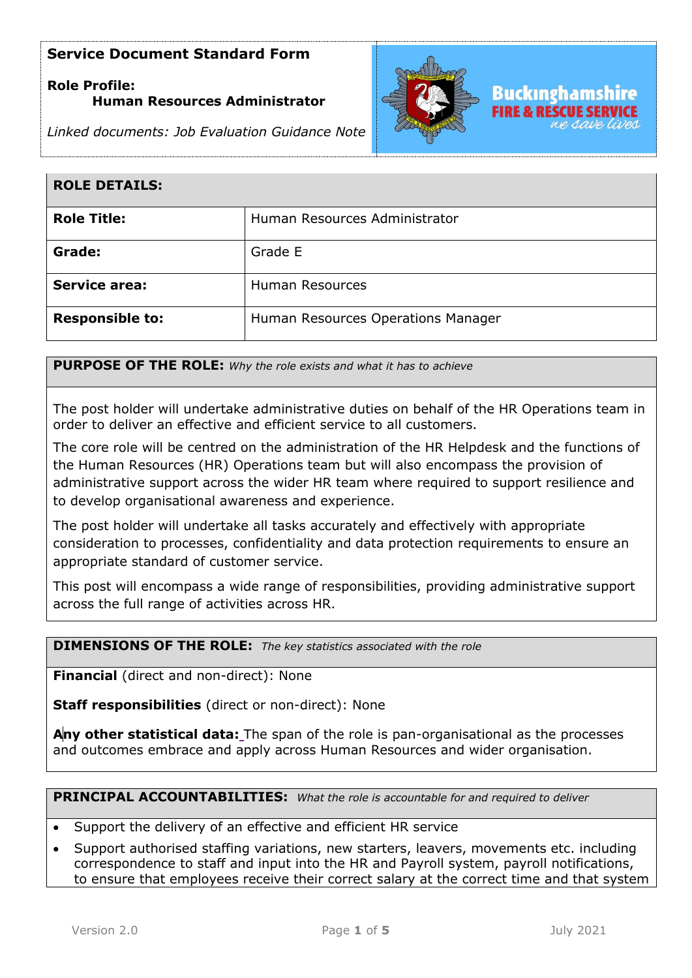# **Role Profile: Human Resources Administrator**





| <b>ROLE DETAILS:</b>   |                                    |
|------------------------|------------------------------------|
| <b>Role Title:</b>     | Human Resources Administrator      |
| Grade:                 | Grade E                            |
| <b>Service area:</b>   | <b>Human Resources</b>             |
| <b>Responsible to:</b> | Human Resources Operations Manager |

**PURPOSE OF THE ROLE:** *Why the role exists and what it has to achieve* 

The post holder will undertake administrative duties on behalf of the HR Operations team in order to deliver an effective and efficient service to all customers.

The core role will be centred on the administration of the HR Helpdesk and the functions of the Human Resources (HR) Operations team but will also encompass the provision of administrative support across the wider HR team where required to support resilience and to develop organisational awareness and experience.

The post holder will undertake all tasks accurately and effectively with appropriate consideration to processes, confidentiality and data protection requirements to ensure an appropriate standard of customer service.

This post will encompass a wide range of responsibilities, providing administrative support across the full range of activities across HR.

#### **DIMENSIONS OF THE ROLE:** *The key statistics associated with the role*

**Financial** (direct and non-direct): None

**Staff responsibilities** (direct or non-direct): None

**Any other statistical data:** The span of the role is pan-organisational as the processes and outcomes embrace and apply across Human Resources and wider organisation.

**PRINCIPAL ACCOUNTABILITIES:** *What the role is accountable for and required to deliver*

- Support the delivery of an effective and efficient HR service
- Support authorised staffing variations, new starters, leavers, movements etc. including correspondence to staff and input into the HR and Payroll system, payroll notifications, to ensure that employees receive their correct salary at the correct time and that system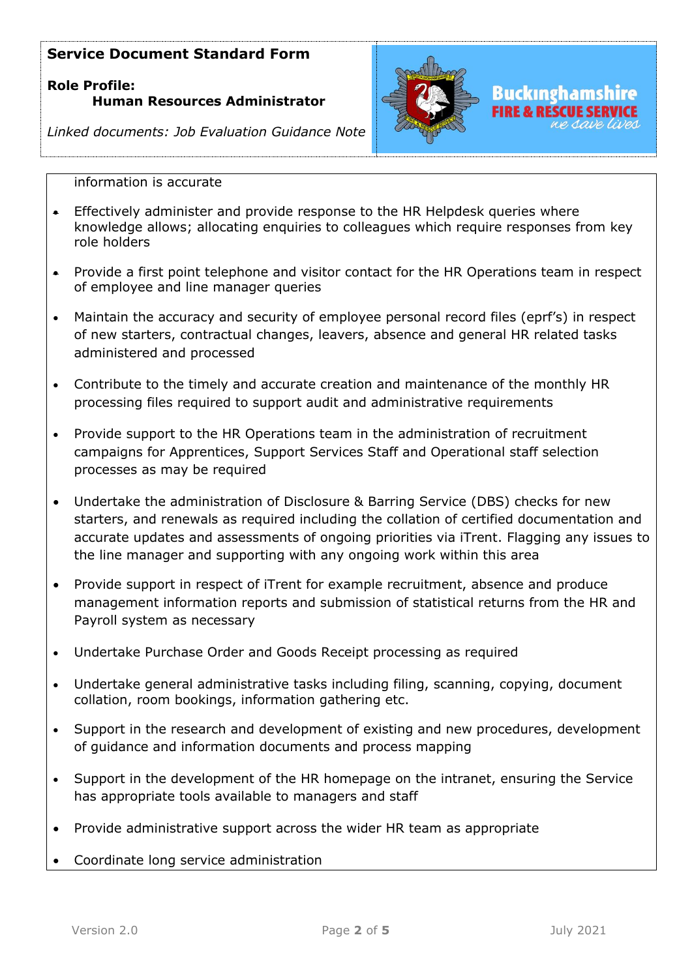# **Role Profile: Human Resources Administrator**



SCIIF SFR

*Linked documents: Job Evaluation Guidance Note*

#### information is accurate

- Effectively administer and provide response to the HR Helpdesk queries where knowledge allows; allocating enquiries to colleagues which require responses from key role holders
- Provide a first point telephone and visitor contact for the HR Operations team in respect of employee and line manager queries
- Maintain the accuracy and security of employee personal record files (eprf's) in respect of new starters, contractual changes, leavers, absence and general HR related tasks administered and processed
- Contribute to the timely and accurate creation and maintenance of the monthly HR processing files required to support audit and administrative requirements
- Provide support to the HR Operations team in the administration of recruitment campaigns for Apprentices, Support Services Staff and Operational staff selection processes as may be required
- Undertake the administration of Disclosure & Barring Service (DBS) checks for new starters, and renewals as required including the collation of certified documentation and accurate updates and assessments of ongoing priorities via iTrent. Flagging any issues to the line manager and supporting with any ongoing work within this area
- Provide support in respect of iTrent for example recruitment, absence and produce management information reports and submission of statistical returns from the HR and Payroll system as necessary
- Undertake Purchase Order and Goods Receipt processing as required
- Undertake general administrative tasks including filing, scanning, copying, document collation, room bookings, information gathering etc.
- Support in the research and development of existing and new procedures, development of guidance and information documents and process mapping
- Support in the development of the HR homepage on the intranet, ensuring the Service has appropriate tools available to managers and staff
- Provide administrative support across the wider HR team as appropriate
- Coordinate long service administration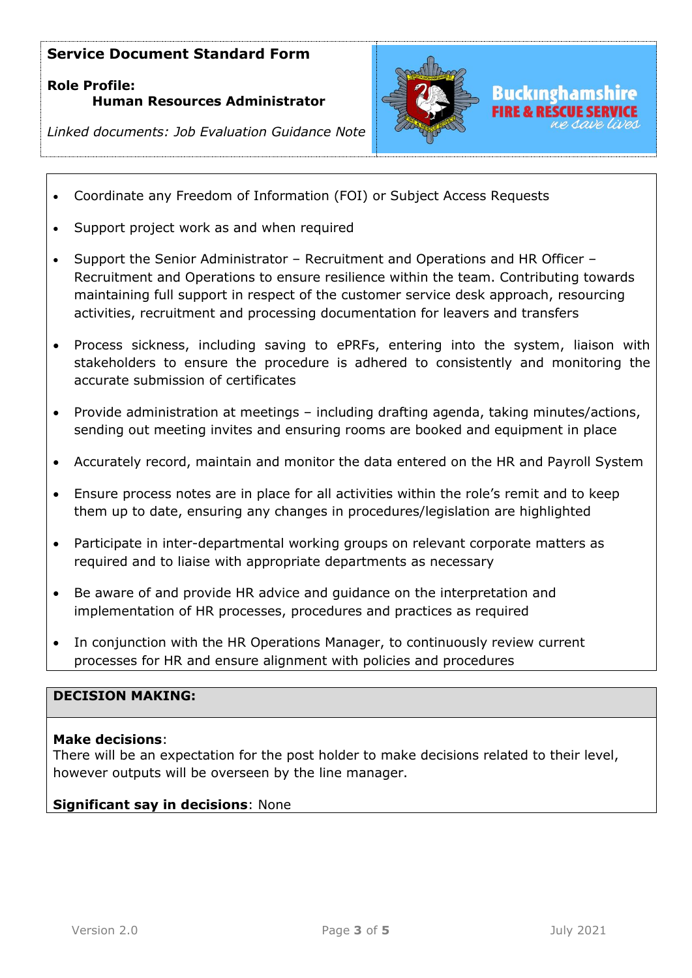# **Role Profile: Human Resources Administrator**



*Linked documents: Job Evaluation Guidance Note*

- Coordinate any Freedom of Information (FOI) or Subject Access Requests
- Support project work as and when required
- Support the Senior Administrator Recruitment and Operations and HR Officer Recruitment and Operations to ensure resilience within the team. Contributing towards maintaining full support in respect of the customer service desk approach, resourcing activities, recruitment and processing documentation for leavers and transfers
- Process sickness, including saving to ePRFs, entering into the system, liaison with stakeholders to ensure the procedure is adhered to consistently and monitoring the accurate submission of certificates
- Provide administration at meetings including drafting agenda, taking minutes/actions, sending out meeting invites and ensuring rooms are booked and equipment in place
- Accurately record, maintain and monitor the data entered on the HR and Payroll System
- Ensure process notes are in place for all activities within the role's remit and to keep them up to date, ensuring any changes in procedures/legislation are highlighted
- Participate in inter-departmental working groups on relevant corporate matters as required and to liaise with appropriate departments as necessary
- Be aware of and provide HR advice and guidance on the interpretation and implementation of HR processes, procedures and practices as required
- In conjunction with the HR Operations Manager, to continuously review current processes for HR and ensure alignment with policies and procedures

### **DECISION MAKING:**

#### **Make decisions**:

There will be an expectation for the post holder to make decisions related to their level, however outputs will be overseen by the line manager.

#### **Significant say in decisions**: None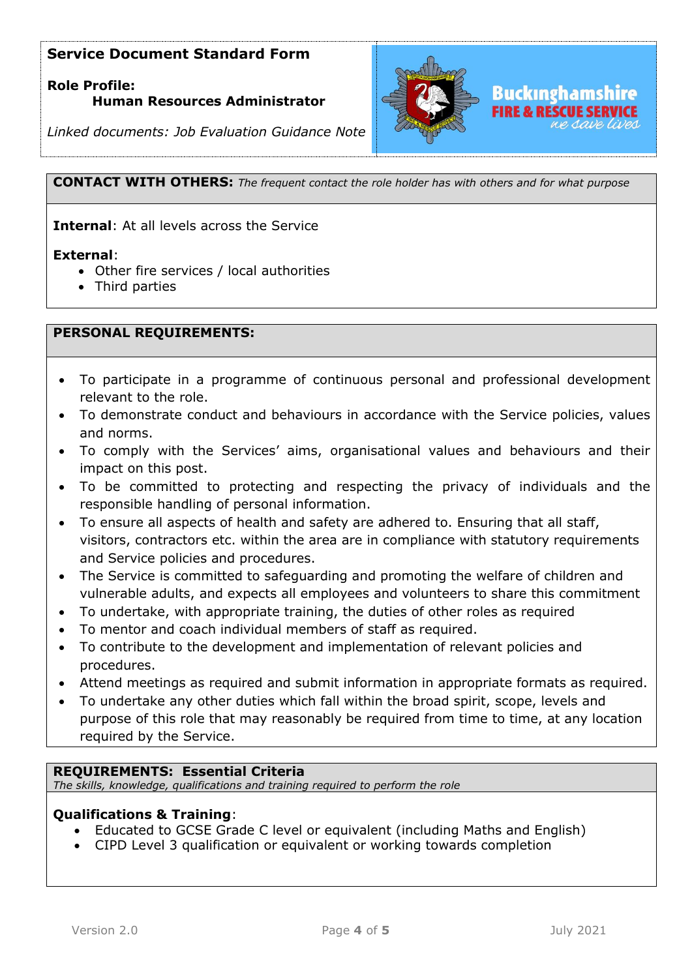## **Role Profile: Human Resources Administrator**



*Linked documents: Job Evaluation Guidance Note*

**CONTACT WITH OTHERS:** *The frequent contact the role holder has with others and for what purpose*

**Internal**: At all levels across the Service

#### **External**:

- Other fire services / local authorities
- Third parties

#### **PERSONAL REQUIREMENTS:**

- To participate in a programme of continuous personal and professional development relevant to the role.
- To demonstrate conduct and behaviours in accordance with the Service policies, values and norms.
- To comply with the Services' aims, organisational values and behaviours and their impact on this post.
- To be committed to protecting and respecting the privacy of individuals and the responsible handling of personal information.
- To ensure all aspects of health and safety are adhered to. Ensuring that all staff, visitors, contractors etc. within the area are in compliance with statutory requirements and Service policies and procedures.
- The Service is committed to safeguarding and promoting the welfare of children and vulnerable adults, and expects all employees and volunteers to share this commitment
- To undertake, with appropriate training, the duties of other roles as required
- To mentor and coach individual members of staff as required.
- To contribute to the development and implementation of relevant policies and procedures.
- Attend meetings as required and submit information in appropriate formats as required.
- To undertake any other duties which fall within the broad spirit, scope, levels and purpose of this role that may reasonably be required from time to time, at any location required by the Service.

#### **REQUIREMENTS: Essential Criteria**

*The skills, knowledge, qualifications and training required to perform the role*

#### **Qualifications & Training**:

- Educated to GCSE Grade C level or equivalent (including Maths and English)
- CIPD Level 3 qualification or equivalent or working towards completion